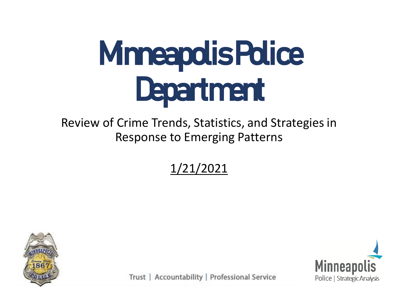# Minneapolis Police Department

#### Review of Crime Trends, Statistics, and Strategies in Response to Emerging Patterns

1/21/2021





Trust | Accountability | Professional Service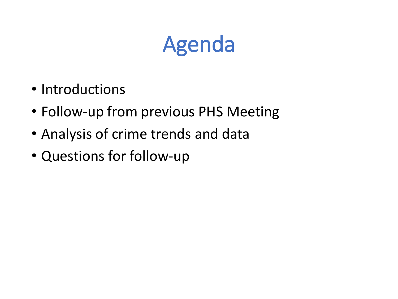#### Agenda

- Introductions
- Follow-up from previous PHS Meeting
- Analysis of crime trends and data
- Questions for follow-up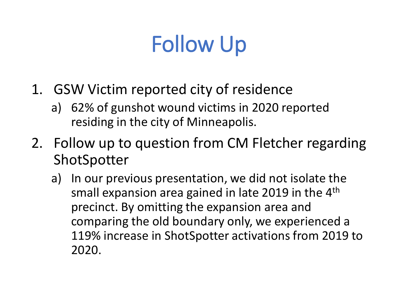## Follow Up

- 1. GSW Victim reported city of residence
	- a) 62% of gunshot wound victims in 2020 reported residing in the city of Minneapolis.
- 2. Follow up to question from CM Fletcher regarding ShotSpotter
	- a) In our previous presentation, we did not isolate the small expansion area gained in late 2019 in the 4th precinct. By omitting the expansion area and comparing the old boundary only, we experienced a 119% increase in ShotSpotter activations from 2019 to 2020.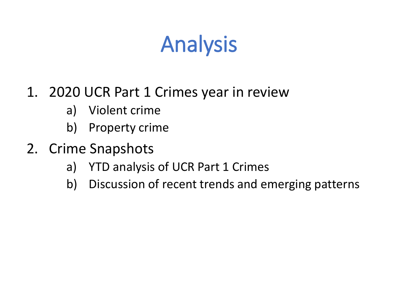#### Analysis

#### 1. 2020 UCR Part 1 Crimes year in review

- a) Violent crime
- b) Property crime
- 2. Crime Snapshots
	- a) YTD analysis of UCR Part 1 Crimes
	- b) Discussion of recent trends and emerging patterns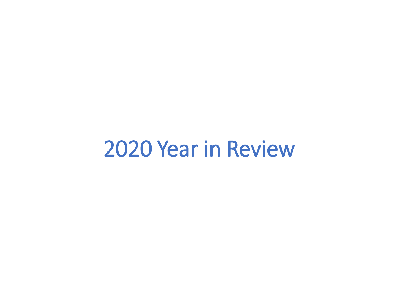#### 2020 Year in Review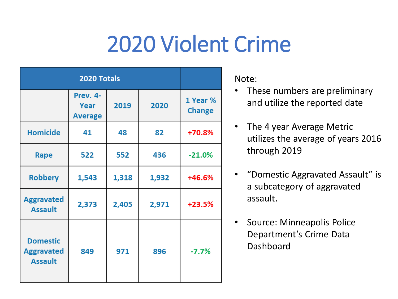#### 2020 Violent Crime

|                                                        | Prev. 4-<br>Year<br><b>Average</b> | 2019  | 2020  | 1 Year %<br><b>Change</b> |
|--------------------------------------------------------|------------------------------------|-------|-------|---------------------------|
| <b>Homicide</b>                                        | 41                                 | 48    | 82    | $+70.8%$                  |
| Rape                                                   | 522                                | 552   | 436   | $-21.0%$                  |
| <b>Robbery</b>                                         | 1,543                              | 1,318 | 1,932 | $+46.6%$                  |
| <b>Aggravated</b><br><b>Assault</b>                    | 2,373                              | 2,405 | 2,971 | $+23.5%$                  |
| <b>Domestic</b><br><b>Aggravated</b><br><b>Assault</b> | 849                                | 971   | 896   | $-7.7%$                   |

Note:

- These numbers are preliminary and utilize the reported date
- The 4 year Average Metric utilizes the average of years 2016 through 2019
- "Domestic Aggravated Assault" is a subcategory of aggravated assault.
- Source: Minneapolis Police Department's Crime Data Dashboard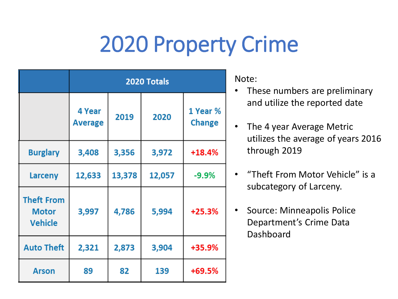#### 2020 Property Crime

|                                                     | 2020 Totals              |        |        |                           |  |
|-----------------------------------------------------|--------------------------|--------|--------|---------------------------|--|
|                                                     | 4 Year<br><b>Average</b> | 2019   | 2020   | 1 Year %<br><b>Change</b> |  |
| <b>Burglary</b>                                     | 3,408                    | 3,356  | 3,972  | $+18.4%$                  |  |
| <b>Larceny</b>                                      | 12,633                   | 13,378 | 12,057 | $-9.9%$                   |  |
| <b>Theft From</b><br><b>Motor</b><br><b>Vehicle</b> | 3,997                    | 4,786  | 5,994  | $+25.3%$                  |  |
| <b>Auto Theft</b>                                   | 2,321                    | 2,873  | 3,904  | +35.9%                    |  |
| <b>Arson</b>                                        | 89                       | 82     | 139    | $+69.5%$                  |  |

Note:

- These numbers are preliminary and utilize the reported date
- The 4 year Average Metric utilizes the average of years 2016 through 2019
- "Theft From Motor Vehicle" is a subcategory of Larceny.
- Source: Minneapolis Police Department's Crime Data Dashboard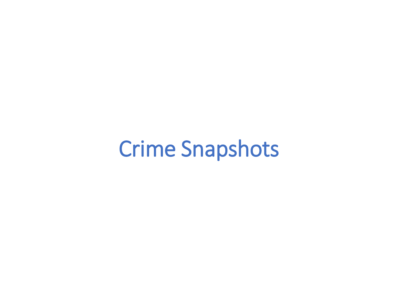#### Crime Snapshots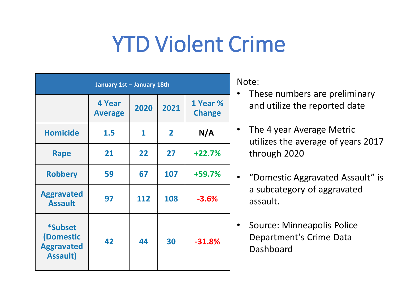#### YTD Violent Crime

| January 1st - January 18th                                   |                          |      |                |                           |  |
|--------------------------------------------------------------|--------------------------|------|----------------|---------------------------|--|
|                                                              | 4 Year<br><b>Average</b> | 2020 | 2021           | 1 Year %<br><b>Change</b> |  |
| <b>Homicide</b>                                              | 1.5                      | 1    | $\overline{2}$ | N/A                       |  |
| Rape                                                         | 21                       | 22   | 27             | $+22.7%$                  |  |
| <b>Robbery</b>                                               | 59                       | 67   | 107            | +59.7%                    |  |
| <b>Aggravated</b><br><b>Assault</b>                          | 97                       | 112  | 108            | $-3.6%$                   |  |
| *Subset<br>(Domestic<br><b>Aggravated</b><br><b>Assault)</b> | 42                       | 44   | 30             | $-31.8%$                  |  |

Note:

- These numbers are preliminary and utilize the reported date
- The 4 year Average Metric utilizes the average of years 2017 through 2020
- "Domestic Aggravated Assault" is a subcategory of aggravated assault.
- Source: Minneapolis Police Department's Crime Data Dashboard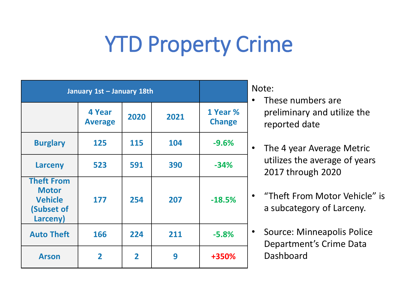#### YTD Property Crime

| January 1st - January 18th                                                    |                                 | ľ              |      |                           |  |
|-------------------------------------------------------------------------------|---------------------------------|----------------|------|---------------------------|--|
|                                                                               | <b>4 Year</b><br><b>Average</b> | 2020           | 2021 | 1 Year %<br><b>Change</b> |  |
| <b>Burglary</b>                                                               | 125                             | 115            | 104  | $-9.6%$                   |  |
| Larceny                                                                       | 523                             | 591            | 390  | $-34%$                    |  |
| <b>Theft From</b><br><b>Motor</b><br><b>Vehicle</b><br>(Subset of<br>Larceny) | 177                             | 254            | 207  | $-18.5%$                  |  |
| <b>Auto Theft</b>                                                             | 166                             | 224            | 211  | $-5.8%$                   |  |
| <b>Arson</b>                                                                  | $\overline{2}$                  | $\overline{2}$ | 9    | +350%                     |  |

Note:

- These numbers are preliminary and utilize the reported date
- The 4 year Average Metric utilizes the average of years 2017 through 2020
- "Theft From Motor Vehicle" is a subcategory of Larceny.
- Source: Minneapolis Police Department's Crime Data Dashboard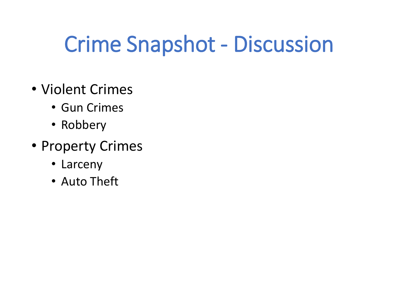#### Crime Snapshot - Discussion

- Violent Crimes
	- Gun Crimes
	- Robbery
- Property Crimes
	- Larceny
	- Auto Theft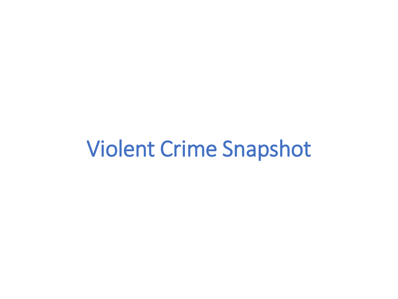#### Violent Crime Snapshot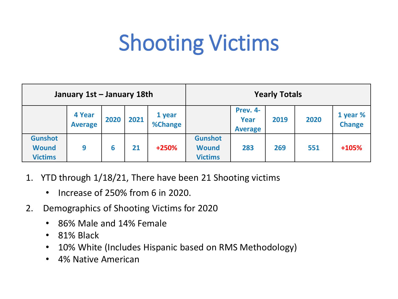#### Shooting Victims

| January 1st - January 18th                       |                          |      |      |                   | <b>Yearly Totals</b>                             |                                    |      |      |                           |
|--------------------------------------------------|--------------------------|------|------|-------------------|--------------------------------------------------|------------------------------------|------|------|---------------------------|
|                                                  | 4 Year<br><b>Average</b> | 2020 | 2021 | 1 year<br>%Change |                                                  | Prev. 4-<br>Year<br><b>Average</b> | 2019 | 2020 | 1 year %<br><b>Change</b> |
| <b>Gunshot</b><br><b>Wound</b><br><b>Victims</b> | 9                        | 6    | 21   | $+250%$           | <b>Gunshot</b><br><b>Wound</b><br><b>Victims</b> | 283                                | 269  | 551  | $+105%$                   |

- 1. YTD through 1/18/21, There have been 21 Shooting victims
	- Increase of 250% from 6 in 2020.
- 2. Demographics of Shooting Victims for 2020
	- 86% Male and 14% Female
	- 81% Black
	- 10% White (Includes Hispanic based on RMS Methodology)
	- 4% Native American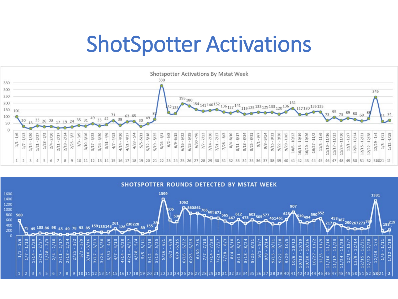#### ShotSpotter Activations



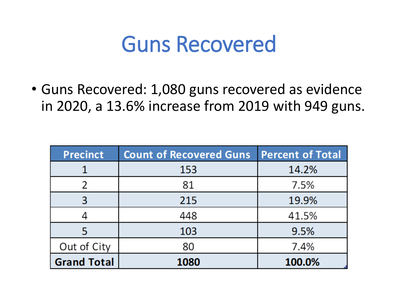#### Guns Recovered

• Guns Recovered: 1,080 guns recovered as evidence in 2020, a 13.6% increase from 2019 with 949 guns.

| <b>Precinct</b>    | <b>Count of Recovered Guns</b> | <b>Percent of Total</b> |
|--------------------|--------------------------------|-------------------------|
|                    | 153                            | 14.2%                   |
|                    | 81                             | 7.5%                    |
| 3                  | 215                            | 19.9%                   |
|                    | 448                            | 41.5%                   |
|                    | 103                            | 9.5%                    |
| Out of City        | 80                             | 7.4%                    |
| <b>Grand Total</b> | 1080                           | 100.0%                  |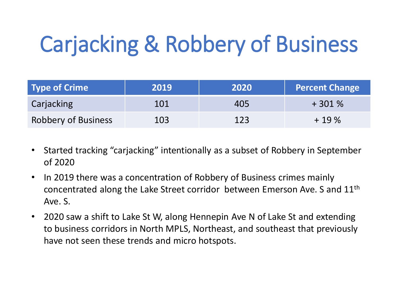## Carjacking & Robbery of Business

| <b>Type of Crime</b>       | 2019 | 2020 | <b>Percent Change</b> |
|----------------------------|------|------|-----------------------|
| Carjacking                 | 101  | 405  | $+301%$               |
| <b>Robbery of Business</b> | 103  | 123  | $+19%$                |

- Started tracking "carjacking" intentionally as a subset of Robbery in September of 2020
- In 2019 there was a concentration of Robbery of Business crimes mainly concentrated along the Lake Street corridor between Emerson Ave. S and 11th Ave. S.
- 2020 saw a shift to Lake St W, along Hennepin Ave N of Lake St and extending to business corridors in North MPLS, Northeast, and southeast that previously have not seen these trends and micro hotspots.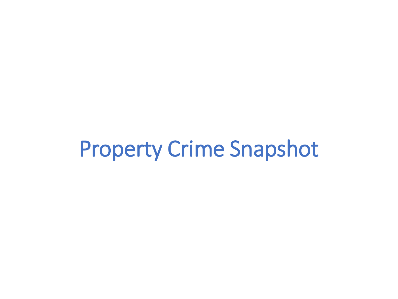#### Property Crime Snapshot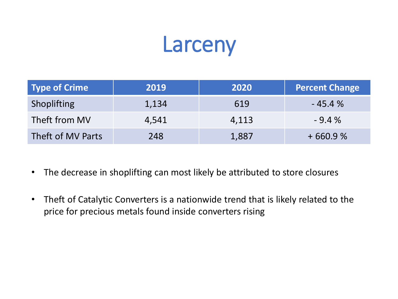#### Larceny

| Type of Crime     | 2019  | 2020  | <b>Percent Change</b> |
|-------------------|-------|-------|-----------------------|
| Shoplifting       | 1,134 | 619   | $-45.4%$              |
| Theft from MV     | 4,541 | 4,113 | $-9.4%$               |
| Theft of MV Parts | 248   | 1,887 | $+660.9%$             |

- The decrease in shoplifting can most likely be attributed to store closures
- Theft of Catalytic Converters is a nationwide trend that is likely related to the price for precious metals found inside converters rising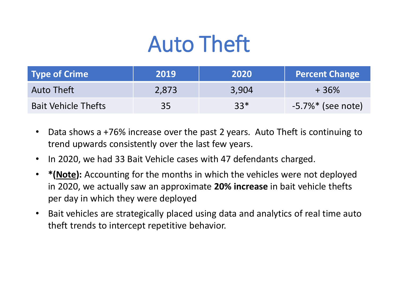### Auto Theft

| <b>Type of Crime</b>       | 2019  | 2020  | <b>Percent Change</b> |
|----------------------------|-------|-------|-----------------------|
| Auto Theft                 | 2,873 | 3,904 | +36%                  |
| <b>Bait Vehicle Thefts</b> | 35    | $33*$ | $-5.7\%*$ (see note)  |

- Data shows a +76% increase over the past 2 years. Auto Theft is continuing to trend upwards consistently over the last few years.
- In 2020, we had 33 Bait Vehicle cases with 47 defendants charged.
- **\*(Note):** Accounting for the months in which the vehicles were not deployed in 2020, we actually saw an approximate **20% increase** in bait vehicle thefts per day in which they were deployed
- Bait vehicles are strategically placed using data and analytics of real time auto theft trends to intercept repetitive behavior.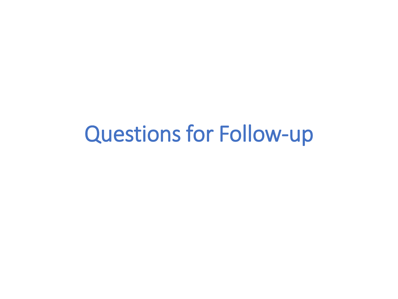#### Questions for Follow-up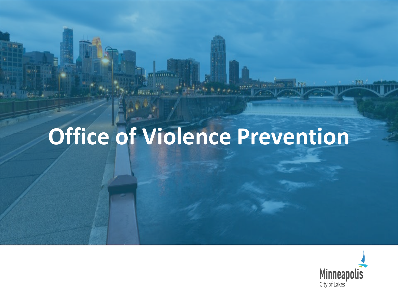## **Office of Violence Prevention**

**HEAR ATE** 

 $111111111$ 



m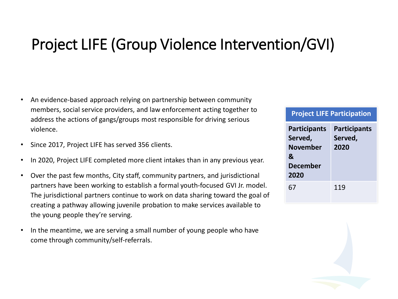#### Project LIFE (Group Violence Intervention/GVI)

- An evidence-based approach relying on partnership between community members, social service providers, and law enforcement acting together to address the actions of gangs/groups most responsible for driving serious violence.
- Since 2017, Project LIFE has served 356 clients.
- In 2020, Project LIFE completed more client intakes than in any previous year.
- Over the past few months, City staff, community partners, and jurisdictional partners have been working to establish a formal youth-focused GVI Jr. model. The jurisdictional partners continue to work on data sharing toward the goal of creating a pathway allowing juvenile probation to make services available to the young people they're serving.
- In the meantime, we are serving a small number of young people who have come through community/self-referrals.

| <b>Project LIFE Participation</b> |  |  |
|-----------------------------------|--|--|
|                                   |  |  |

| <b>Participants</b> | <b>Participants</b> |
|---------------------|---------------------|
| Served,             | Served,             |
| <b>November</b>     | 2020                |
| &                   |                     |
| <b>December</b>     |                     |
| 2020                |                     |
| 67                  | 119                 |
|                     |                     |

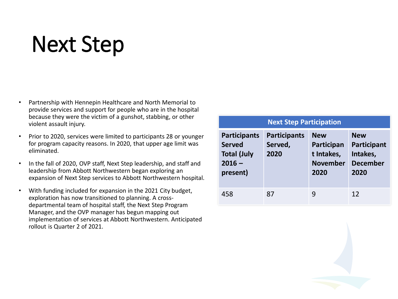#### Next Step

- Partnership with Hennepin Healthcare and North Memorial to provide services and support for people who are in the hospital because they were the victim of a gunshot, stabbing, or other violent assault injury.
- Prior to 2020, services were limited to participants 28 or younger for program capacity reasons. In 2020, that upper age limit was eliminated.
- In the fall of 2020, OVP staff, Next Step leadership, and staff and leadership from Abbott Northwestern began exploring an expansion of Next Step services to Abbott Northwestern hospital.
- With funding included for expansion in the 2021 City budget, exploration has now transitioned to planning. A crossdepartmental team of hospital staff, the Next Step Program Manager, and the OVP manager has begun mapping out implementation of services at Abbott Northwestern. Anticipated rollout is Quarter 2 of 2021.

#### **Next Step Participation Participants Served Total (July 2016 – present) Participants Served, 2020 New Participan t Intakes, November 2020 New Participant Intakes, December 2020**

458 87 9 12